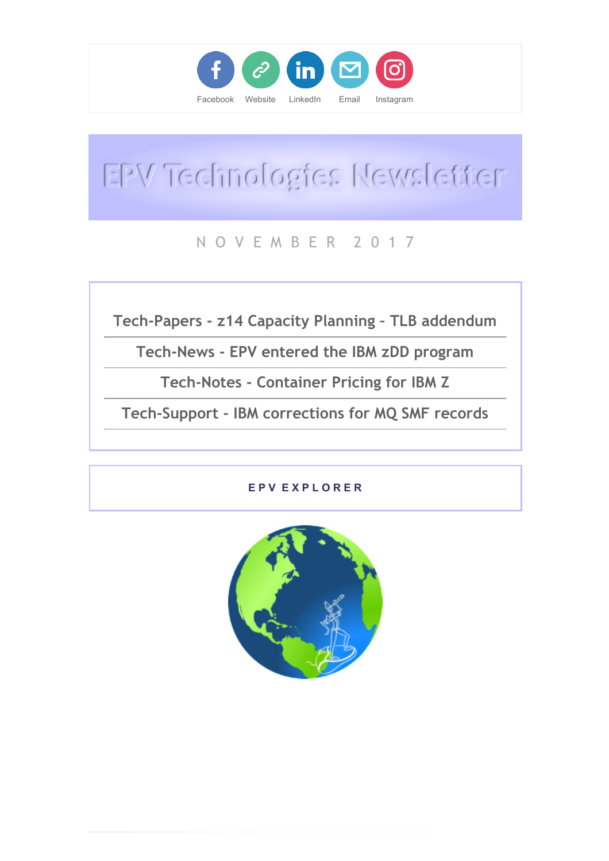

# EPV Technologies Newsletter

### N O V E M B E R 2 0 1 7

Tech-Papers - z14 Capacity Planning – TLB addendum

Tech-News - EPV entered the IBM zDD program

Tech-Notes - Container Pricing for IBM Z

Tech-Support - IBM corrections for MQ SMF records

#### E P V E X P L O R E R

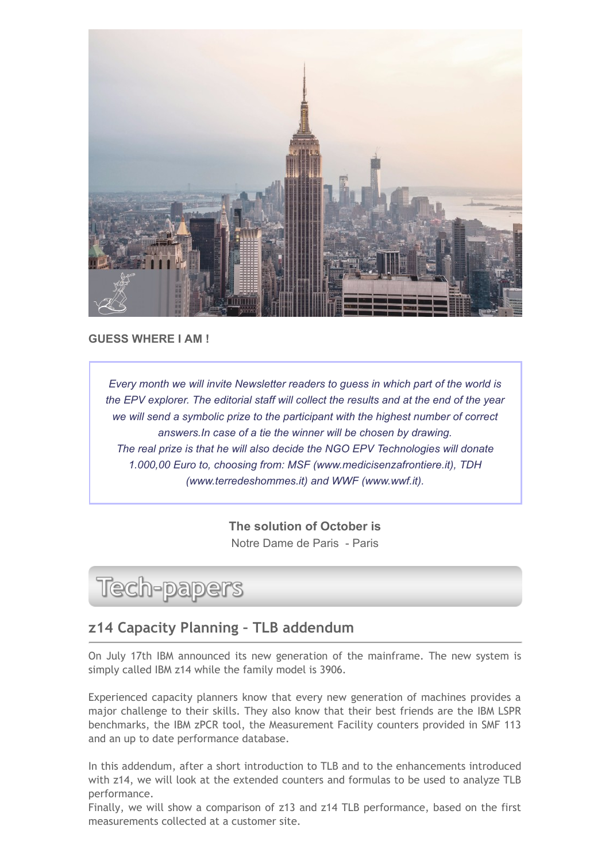

GUESS WHERE I AM !

Every month we will invite Newsletter readers to guess in which part of the world is the EPV explorer. The editorial staff will collect the results and at the end of the year we will send a symbolic prize to the participant with the highest number of correct answers.In case of a tie the winner will be chosen by drawing. The real prize is that he will also decide the NGO EPV Technologies will donate 1.000,00 Euro to, choosing from: MSF (www.medicisenzafrontiere.it), TDH (www.terredeshommes.it) and WWF (www.wwf.it).

> The solution of October is Notre Dame de Paris - Paris

# **Tech-papers**

#### z14 Capacity Planning – TLB addendum

On July 17th IBM announced its new generation of the mainframe. The new system is simply called IBM z14 while the family model is 3906.

Experienced capacity planners know that every new generation of machines provides a major challenge to their skills. They also know that their best friends are the IBM LSPR benchmarks, the IBM zPCR tool, the Measurement Facility counters provided in SMF 113 and an up to date performance database.

In this addendum, after a short introduction to TLB and to the enhancements introduced with z14, we will look at the extended counters and formulas to be used to analyze TLB performance.

Finally, we will show a comparison of z13 and z14 TLB performance, based on the first measurements collected at a customer site.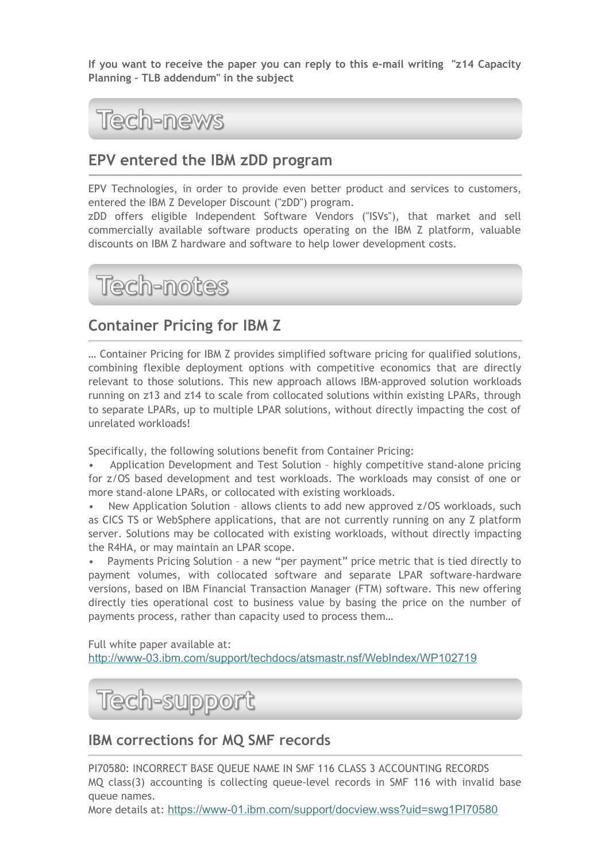If you want to receive the paper you can reply to this e-mail writing "z14 Capacity Planning – TLB addendum" in the subject



#### EPV entered the IBM zDD program

EPV Technologies, in order to provide even better product and services to customers, entered the IBM Z Developer Discount ("zDD") program.

zDD offers eligible Independent Software Vendors ("ISVs"), that market and sell commercially available software products operating on the IBM Z platform, valuable discounts on IBM Z hardware and software to help lower development costs.



#### Container Pricing for IBM Z

… Container Pricing for IBM Z provides simplified software pricing for qualified solutions, combining flexible deployment options with competitive economics that are directly relevant to those solutions. This new approach allows IBM-approved solution workloads running on z13 and z14 to scale from collocated solutions within existing LPARs, through to separate LPARs, up to multiple LPAR solutions, without directly impacting the cost of unrelated workloads!

Specifically, the following solutions benefit from Container Pricing:

• Application Development and Test Solution – highly competitive stand-alone pricing for z/OS based development and test workloads. The workloads may consist of one or more stand-alone LPARs, or collocated with existing workloads.

• New Application Solution – allows clients to add new approved z/OS workloads, such as CICS TS or WebSphere applications, that are not currently running on any Z platform server. Solutions may be collocated with existing workloads, without directly impacting the R4HA, or may maintain an LPAR scope.

Payments Pricing Solution - a new "per payment" price metric that is tied directly to payment volumes, with collocated software and separate LPAR software-hardware versions, based on IBM Financial Transaction Manager (FTM) software. This new offering directly ties operational cost to business value by basing the price on the number of payments process, rather than capacity used to process them…

Full white paper available at: [http://www-03.ibm.com/support/techdocs/atsmastr.nsf/WebIndex/WP102719](https://epvtech.us2.list-manage.com/track/click?u=062eec856ef8c8851bd059563&id=1c5078e050&e=48456c6e0b)



#### IBM corrections for MQ SMF records

PI70580: INCORRECT BASE QUEUE NAME IN SMF 116 CLASS 3 ACCOUNTING RECORDS MQ class(3) accounting is collecting queue-level records in SMF 116 with invalid base queue names.

More details at: [https://www-01.ibm.com/support/docview.wss?uid=swg1PI70580](https://epvtech.us2.list-manage.com/track/click?u=062eec856ef8c8851bd059563&id=932db515cc&e=48456c6e0b)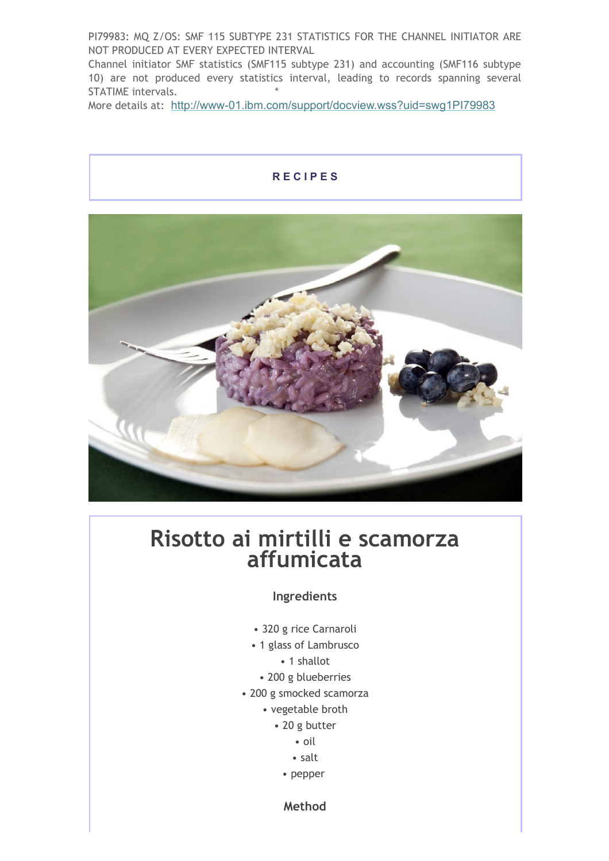PI79983: MQ Z/OS: SMF 115 SUBTYPE 231 STATISTICS FOR THE CHANNEL INITIATOR ARE NOT PRODUCED AT EVERY EXPECTED INTERVAL

Channel initiator SMF statistics (SMF115 subtype 231) and accounting (SMF116 subtype 10) are not produced every statistics interval, leading to records spanning several STATIME intervals.

More details at: [http://www-01.ibm.com/support/docview.wss?uid=swg1PI79983](https://epvtech.us2.list-manage.com/track/click?u=062eec856ef8c8851bd059563&id=6540c81238&e=48456c6e0b)

# R E C I P E S



## Risotto ai mirtilli e scamorza affumicata

#### Ingredients

- 320 g rice Carnaroli
- 1 glass of Lambrusco
	- 1 shallot
	- 200 g blueberries
- 200 g smocked scamorza
	- vegetable broth
		- 20 g butter
			- oil
			- salt
			- pepper

Method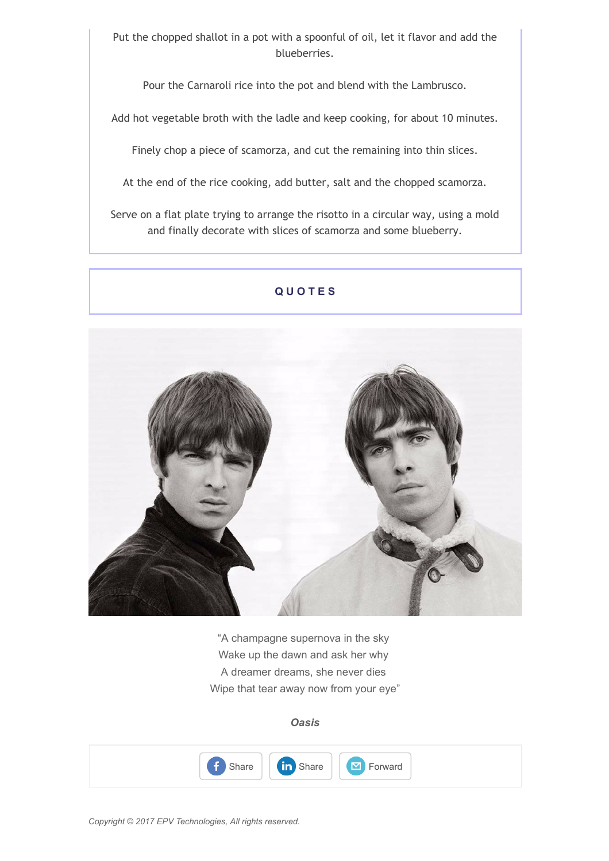Put the chopped shallot in a pot with a spoonful of oil, let it flavor and add the blueberries.

Pour the Carnaroli rice into the pot and blend with the Lambrusco.

Add hot vegetable broth with the ladle and keep cooking, for about 10 minutes.

Finely chop a piece of scamorza, and cut the remaining into thin slices.

At the end of the rice cooking, add butter, salt and the chopped scamorza.

Serve on a flat plate trying to arrange the risotto in a circular way, using a mold and finally decorate with slices of scamorza and some blueberry.

#### **QUOTES**



"A champagne supernova in the sky Wake up the dawn and ask her why A dreamer dreams, she never dies Wipe that tear away now from your eye"

**Oasis**